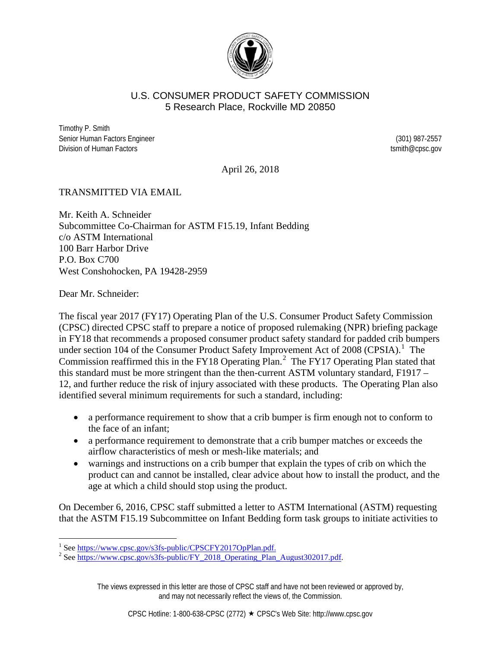

### U.S. CONSUMER PRODUCT SAFETY COMMISSION 5 Research Place, Rockville MD 20850

Timothy P. Smith Senior Human Factors Engineer (301) 987-2557 Division of Human Factors **the Example 2018** of the extension of Human Factors tsmith@cpsc.gov

April 26, 2018

### TRANSMITTED VIA EMAIL

Mr. Keith A. Schneider Subcommittee Co-Chairman for ASTM F15.19, Infant Bedding c/o ASTM International 100 Barr Harbor Drive P.O. Box C700 West Conshohocken, PA 19428-2959

Dear Mr. Schneider:

The fiscal year 2017 (FY17) Operating Plan of the U.S. Consumer Product Safety Commission (CPSC) directed CPSC staff to prepare a notice of proposed rulemaking (NPR) briefing package in FY18 that recommends a proposed consumer product safety standard for padded crib bumpers under section [1](#page-0-0)04 of the Consumer Product Safety Improvement Act of 2008 (CPSIA).<sup>1</sup> The Commission reaffirmed this in the FY18 Operating Plan.<sup>[2](#page-0-1)</sup> The FY17 Operating Plan stated that this standard must be more stringent than the then-current ASTM voluntary standard, F1917 – 12, and further reduce the risk of injury associated with these products. The Operating Plan also identified several minimum requirements for such a standard, including:

- a performance requirement to show that a crib bumper is firm enough not to conform to the face of an infant;
- a performance requirement to demonstrate that a crib bumper matches or exceeds the airflow characteristics of mesh or mesh-like materials; and
- warnings and instructions on a crib bumper that explain the types of crib on which the product can and cannot be installed, clear advice about how to install the product, and the age at which a child should stop using the product.

On December 6, 2016, CPSC staff submitted a letter to ASTM International (ASTM) requesting that the ASTM F15.19 Subcommittee on Infant Bedding form task groups to initiate activities to

The views expressed in this letter are those of CPSC staff and have not been reviewed or approved by, and may not necessarily reflect the views of, the Commission.

<span id="page-0-1"></span><span id="page-0-0"></span><sup>&</sup>lt;sup>1</sup> Se[e https://www.cpsc.gov/s3fs-public/CPSCFY2017OpPlan.pdf.](https://www.cpsc.gov/s3fs-public/CPSCFY2017OpPlan.pdf)<br><sup>2</sup> Se[e https://www.cpsc.gov/s3fs-public/FY\\_2018\\_Operating\\_Plan\\_August302017.pdf.](https://www.cpsc.gov/s3fs-public/FY_2018_Operating_Plan_August302017.pdf)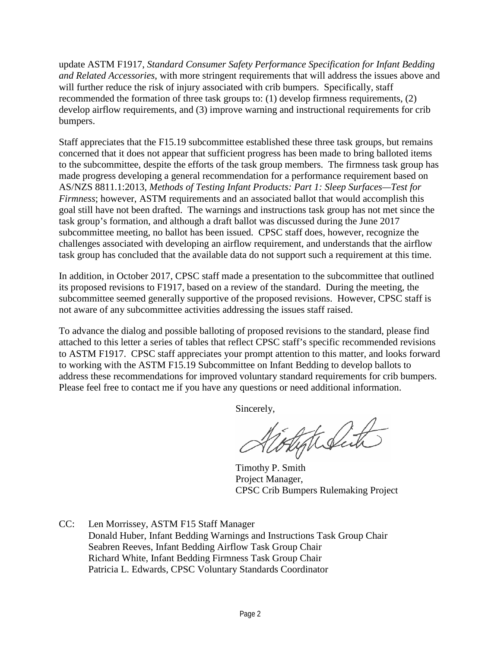update ASTM F1917, *Standard Consumer Safety Performance Specification for Infant Bedding and Related Accessories*, with more stringent requirements that will address the issues above and will further reduce the risk of injury associated with crib bumpers. Specifically, staff recommended the formation of three task groups to: (1) develop firmness requirements, (2) develop airflow requirements, and (3) improve warning and instructional requirements for crib bumpers.

Staff appreciates that the F15.19 subcommittee established these three task groups, but remains concerned that it does not appear that sufficient progress has been made to bring balloted items to the subcommittee, despite the efforts of the task group members. The firmness task group has made progress developing a general recommendation for a performance requirement based on AS/NZS 8811.1:2013, *Methods of Testing Infant Products: Part 1: Sleep Surfaces—Test for Firmness*; however, ASTM requirements and an associated ballot that would accomplish this goal still have not been drafted. The warnings and instructions task group has not met since the task group's formation, and although a draft ballot was discussed during the June 2017 subcommittee meeting, no ballot has been issued. CPSC staff does, however, recognize the challenges associated with developing an airflow requirement, and understands that the airflow task group has concluded that the available data do not support such a requirement at this time.

In addition, in October 2017, CPSC staff made a presentation to the subcommittee that outlined its proposed revisions to F1917, based on a review of the standard. During the meeting, the subcommittee seemed generally supportive of the proposed revisions. However, CPSC staff is not aware of any subcommittee activities addressing the issues staff raised.

To advance the dialog and possible balloting of proposed revisions to the standard, please find attached to this letter a series of tables that reflect CPSC staff's specific recommended revisions to ASTM F1917. CPSC staff appreciates your prompt attention to this matter, and looks forward to working with the ASTM F15.19 Subcommittee on Infant Bedding to develop ballots to address these recommendations for improved voluntary standard requirements for crib bumpers. Please feel free to contact me if you have any questions or need additional information.

Sincerely,

Hytelite

Timothy P. Smith Project Manager, CPSC Crib Bumpers Rulemaking Project

CC: Len Morrissey, ASTM F15 Staff Manager Donald Huber, Infant Bedding Warnings and Instructions Task Group Chair Seabren Reeves, Infant Bedding Airflow Task Group Chair Richard White, Infant Bedding Firmness Task Group Chair Patricia L. Edwards, CPSC Voluntary Standards Coordinator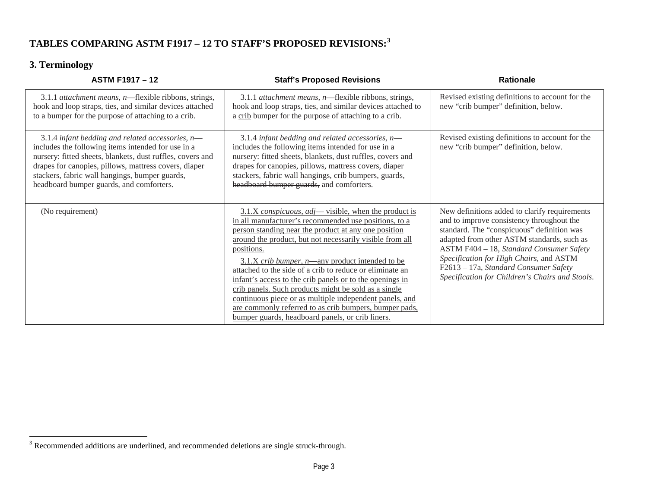# <span id="page-2-0"></span>**TABLES COMPARING ASTM F1917 – 12 TO STAFF'S PROPOSED REVISIONS:[3](#page-2-0)**

# **3. Terminology**

| <b>ASTM F1917 - 12</b>                                                                                                                                                                                                                                                                                                        | <b>Staff's Proposed Revisions</b>                                                                                                                                                                                                                                                                                                                                                                                                                                                                                                                                                                                                                            | <b>Rationale</b>                                                                                                                                                                                                                                                                                                                                                          |
|-------------------------------------------------------------------------------------------------------------------------------------------------------------------------------------------------------------------------------------------------------------------------------------------------------------------------------|--------------------------------------------------------------------------------------------------------------------------------------------------------------------------------------------------------------------------------------------------------------------------------------------------------------------------------------------------------------------------------------------------------------------------------------------------------------------------------------------------------------------------------------------------------------------------------------------------------------------------------------------------------------|---------------------------------------------------------------------------------------------------------------------------------------------------------------------------------------------------------------------------------------------------------------------------------------------------------------------------------------------------------------------------|
| 3.1.1 attachment means, n—flexible ribbons, strings,<br>hook and loop straps, ties, and similar devices attached<br>to a bumper for the purpose of attaching to a crib.                                                                                                                                                       | 3.1.1 attachment means, n-flexible ribbons, strings,<br>hook and loop straps, ties, and similar devices attached to<br>a crib bumper for the purpose of attaching to a crib.                                                                                                                                                                                                                                                                                                                                                                                                                                                                                 | Revised existing definitions to account for the<br>new "crib bumper" definition, below.                                                                                                                                                                                                                                                                                   |
| 3.1.4 infant bedding and related accessories, $n-$<br>includes the following items intended for use in a<br>nursery: fitted sheets, blankets, dust ruffles, covers and<br>drapes for canopies, pillows, mattress covers, diaper<br>stackers, fabric wall hangings, bumper guards,<br>headboard bumper guards, and comforters. | 3.1.4 infant bedding and related accessories, $n$ —<br>includes the following items intended for use in a<br>nursery: fitted sheets, blankets, dust ruffles, covers and<br>drapes for canopies, pillows, mattress covers, diaper<br>stackers, fabric wall hangings, crib bumpers, guards,<br>headboard bumper guards, and comforters.                                                                                                                                                                                                                                                                                                                        | Revised existing definitions to account for the<br>new "crib bumper" definition, below.                                                                                                                                                                                                                                                                                   |
| (No requirement)                                                                                                                                                                                                                                                                                                              | 3.1.X conspicuous, adj—visible, when the product is<br>in all manufacturer's recommended use positions, to a<br>person standing near the product at any one position<br>around the product, but not necessarily visible from all<br>positions.<br>$3.1.X$ crib bumper, n—any product intended to be<br>attached to the side of a crib to reduce or eliminate an<br>infant's access to the crib panels or to the openings in<br>crib panels. Such products might be sold as a single<br>continuous piece or as multiple independent panels, and<br>are commonly referred to as crib bumpers, bumper pads,<br>bumper guards, headboard panels, or crib liners. | New definitions added to clarify requirements<br>and to improve consistency throughout the<br>standard. The "conspicuous" definition was<br>adapted from other ASTM standards, such as<br>ASTM F404 - 18, Standard Consumer Safety<br>Specification for High Chairs, and ASTM<br>F2613 - 17a, Standard Consumer Safety<br>Specification for Children's Chairs and Stools. |

<sup>&</sup>lt;sup>3</sup> Recommended additions are underlined, and recommended deletions are single struck-through.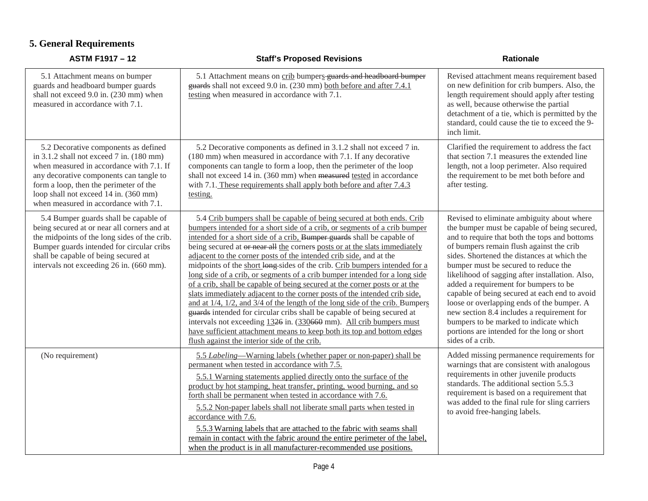# **5. General Requirements**

| <b>ASTM F1917 - 12</b>                                                                                                                                                                                                                                                                                            | <b>Staff's Proposed Revisions</b>                                                                                                                                                                                                                                                                                                                                                                                                                                                                                                                                                                                                                                                                                                                                                                                                                                                                                                                                                                                                                                           | <b>Rationale</b>                                                                                                                                                                                                                                                                                                                                                                                                                                                                                                                                                                                                                     |
|-------------------------------------------------------------------------------------------------------------------------------------------------------------------------------------------------------------------------------------------------------------------------------------------------------------------|-----------------------------------------------------------------------------------------------------------------------------------------------------------------------------------------------------------------------------------------------------------------------------------------------------------------------------------------------------------------------------------------------------------------------------------------------------------------------------------------------------------------------------------------------------------------------------------------------------------------------------------------------------------------------------------------------------------------------------------------------------------------------------------------------------------------------------------------------------------------------------------------------------------------------------------------------------------------------------------------------------------------------------------------------------------------------------|--------------------------------------------------------------------------------------------------------------------------------------------------------------------------------------------------------------------------------------------------------------------------------------------------------------------------------------------------------------------------------------------------------------------------------------------------------------------------------------------------------------------------------------------------------------------------------------------------------------------------------------|
| 5.1 Attachment means on bumper<br>guards and headboard bumper guards<br>shall not exceed 9.0 in. (230 mm) when<br>measured in accordance with 7.1.                                                                                                                                                                | 5.1 Attachment means on crib bumpers guards and headboard bumper<br>guards shall not exceed 9.0 in. (230 mm) both before and after 7.4.1<br>testing when measured in accordance with 7.1.                                                                                                                                                                                                                                                                                                                                                                                                                                                                                                                                                                                                                                                                                                                                                                                                                                                                                   | Revised attachment means requirement based<br>on new definition for crib bumpers. Also, the<br>length requirement should apply after testing<br>as well, because otherwise the partial<br>detachment of a tie, which is permitted by the<br>standard, could cause the tie to exceed the 9-<br>inch limit.                                                                                                                                                                                                                                                                                                                            |
| 5.2 Decorative components as defined<br>in $3.1.2$ shall not exceed $7$ in. $(180 \text{ mm})$<br>when measured in accordance with 7.1. If<br>any decorative components can tangle to<br>form a loop, then the perimeter of the<br>loop shall not exceed 14 in. (360 mm)<br>when measured in accordance with 7.1. | 5.2 Decorative components as defined in 3.1.2 shall not exceed 7 in.<br>(180 mm) when measured in accordance with 7.1. If any decorative<br>components can tangle to form a loop, then the perimeter of the loop<br>shall not exceed 14 in. (360 mm) when measured tested in accordance<br>with 7.1. These requirements shall apply both before and after 7.4.3<br>testing.                                                                                                                                                                                                                                                                                                                                                                                                                                                                                                                                                                                                                                                                                                 | Clarified the requirement to address the fact<br>that section 7.1 measures the extended line<br>length, not a loop perimeter. Also required<br>the requirement to be met both before and<br>after testing.                                                                                                                                                                                                                                                                                                                                                                                                                           |
| 5.4 Bumper guards shall be capable of<br>being secured at or near all corners and at<br>the midpoints of the long sides of the crib.<br>Bumper guards intended for circular cribs<br>shall be capable of being secured at<br>intervals not exceeding 26 in. (660 mm).                                             | 5.4 Crib bumpers shall be capable of being secured at both ends. Crib<br>bumpers intended for a short side of a crib, or segments of a crib bumper<br>intended for a short side of a crib, Bumper guards shall be capable of<br>being secured at or near all the corners posts or at the slats immediately<br>adjacent to the corner posts of the intended crib side, and at the<br>midpoints of the short long-sides of the crib. Crib bumpers intended for a<br>long side of a crib, or segments of a crib bumper intended for a long side<br>of a crib, shall be capable of being secured at the corner posts or at the<br>slats immediately adjacent to the corner posts of the intended crib side,<br>and at $1/4$ , $1/2$ , and $3/4$ of the length of the long side of the crib. Bumpers<br>guards intended for circular cribs shall be capable of being secured at<br>intervals not exceeding 1326 in. (330660 mm). All crib bumpers must<br>have sufficient attachment means to keep both its top and bottom edges<br>flush against the interior side of the crib. | Revised to eliminate ambiguity about where<br>the bumper must be capable of being secured,<br>and to require that both the tops and bottoms<br>of bumpers remain flush against the crib<br>sides. Shortened the distances at which the<br>bumper must be secured to reduce the<br>likelihood of sagging after installation. Also,<br>added a requirement for bumpers to be<br>capable of being secured at each end to avoid<br>loose or overlapping ends of the bumper. A<br>new section 8.4 includes a requirement for<br>bumpers to be marked to indicate which<br>portions are intended for the long or short<br>sides of a crib. |
| (No requirement)                                                                                                                                                                                                                                                                                                  | 5.5 Labeling—Warning labels (whether paper or non-paper) shall be<br>permanent when tested in accordance with 7.5.<br>5.5.1 Warning statements applied directly onto the surface of the<br>product by hot stamping, heat transfer, printing, wood burning, and so<br>forth shall be permanent when tested in accordance with 7.6.<br>5.5.2 Non-paper labels shall not liberate small parts when tested in<br>accordance with 7.6.<br>5.5.3 Warning labels that are attached to the fabric with seams shall<br>remain in contact with the fabric around the entire perimeter of the label,<br>when the product is in all manufacturer-recommended use positions.                                                                                                                                                                                                                                                                                                                                                                                                             | Added missing permanence requirements for<br>warnings that are consistent with analogous<br>requirements in other juvenile products<br>standards. The additional section 5.5.3<br>requirement is based on a requirement that<br>was added to the final rule for sling carriers<br>to avoid free-hanging labels.                                                                                                                                                                                                                                                                                                                      |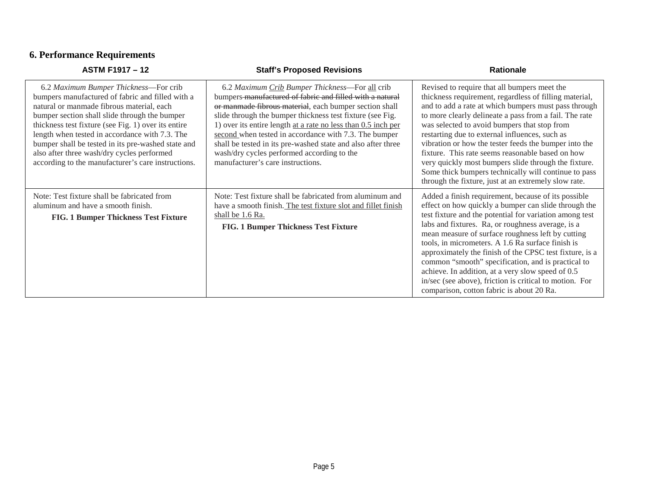# **6. Performance Requirements**

| <b>ASTM F1917 - 12</b>                                                                                                                                                                                                                                                                                                                                                                                                                                     | <b>Staff's Proposed Revisions</b>                                                                                                                                                                                                                                                                                                                                                                                                                                                                              | <b>Rationale</b>                                                                                                                                                                                                                                                                                                                                                                                                                                                                                                                                                                                                    |
|------------------------------------------------------------------------------------------------------------------------------------------------------------------------------------------------------------------------------------------------------------------------------------------------------------------------------------------------------------------------------------------------------------------------------------------------------------|----------------------------------------------------------------------------------------------------------------------------------------------------------------------------------------------------------------------------------------------------------------------------------------------------------------------------------------------------------------------------------------------------------------------------------------------------------------------------------------------------------------|---------------------------------------------------------------------------------------------------------------------------------------------------------------------------------------------------------------------------------------------------------------------------------------------------------------------------------------------------------------------------------------------------------------------------------------------------------------------------------------------------------------------------------------------------------------------------------------------------------------------|
| 6.2 Maximum Bumper Thickness-For crib<br>bumpers manufactured of fabric and filled with a<br>natural or manmade fibrous material, each<br>bumper section shall slide through the bumper<br>thickness test fixture (see Fig. 1) over its entire<br>length when tested in accordance with 7.3. The<br>bumper shall be tested in its pre-washed state and<br>also after three wash/dry cycles performed<br>according to the manufacturer's care instructions. | 6.2 Maximum Crib Bumper Thickness—For all crib<br>bumpers-manufactured of fabric and filled with a natural<br>or manmade fibrous material, each bumper section shall<br>slide through the bumper thickness test fixture (see Fig.<br>1) over its entire length at a rate no less than 0.5 inch per<br>second when tested in accordance with 7.3. The bumper<br>shall be tested in its pre-washed state and also after three<br>wash/dry cycles performed according to the<br>manufacturer's care instructions. | Revised to require that all bumpers meet the<br>thickness requirement, regardless of filling material,<br>and to add a rate at which bumpers must pass through<br>to more clearly delineate a pass from a fail. The rate<br>was selected to avoid bumpers that stop from<br>restarting due to external influences, such as<br>vibration or how the tester feeds the bumper into the<br>fixture. This rate seems reasonable based on how<br>very quickly most bumpers slide through the fixture.<br>Some thick bumpers technically will continue to pass<br>through the fixture, just at an extremely slow rate.     |
| Note: Test fixture shall be fabricated from<br>aluminum and have a smooth finish.<br>FIG. 1 Bumper Thickness Test Fixture                                                                                                                                                                                                                                                                                                                                  | Note: Test fixture shall be fabricated from aluminum and<br>have a smooth finish. The test fixture slot and fillet finish<br>shall be 1.6 Ra.<br>FIG. 1 Bumper Thickness Test Fixture                                                                                                                                                                                                                                                                                                                          | Added a finish requirement, because of its possible<br>effect on how quickly a bumper can slide through the<br>test fixture and the potential for variation among test<br>labs and fixtures. Ra, or roughness average, is a<br>mean measure of surface roughness left by cutting<br>tools, in micrometers. A 1.6 Ra surface finish is<br>approximately the finish of the CPSC test fixture, is a<br>common "smooth" specification, and is practical to<br>achieve. In addition, at a very slow speed of 0.5<br>in/sec (see above), friction is critical to motion. For<br>comparison, cotton fabric is about 20 Ra. |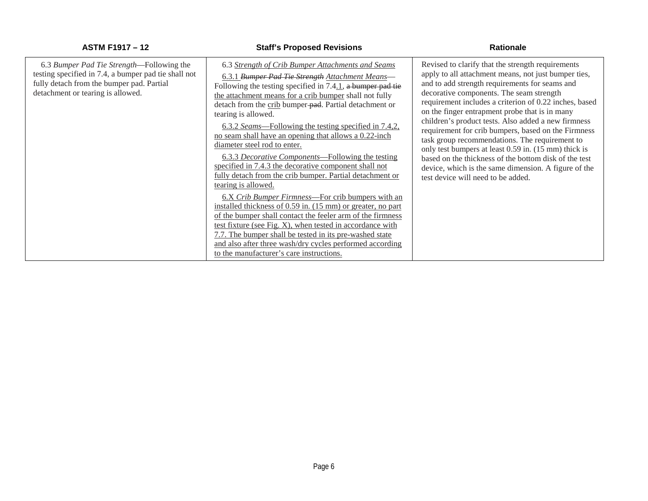| 6.3 Bumper Pad Tie Strength—Following the                                                                                              | 6.3 Strength of Crib Bumper Attachments and Seams                                                                                                                                                                                                                                                                                                                                                                                                                                                                                                                                                                  | Revised to clarify that the strength requirements                                                                                                                                                                                                                                                                                                                                                                                                                                                                                                                                                                                             |
|----------------------------------------------------------------------------------------------------------------------------------------|--------------------------------------------------------------------------------------------------------------------------------------------------------------------------------------------------------------------------------------------------------------------------------------------------------------------------------------------------------------------------------------------------------------------------------------------------------------------------------------------------------------------------------------------------------------------------------------------------------------------|-----------------------------------------------------------------------------------------------------------------------------------------------------------------------------------------------------------------------------------------------------------------------------------------------------------------------------------------------------------------------------------------------------------------------------------------------------------------------------------------------------------------------------------------------------------------------------------------------------------------------------------------------|
| testing specified in 7.4, a bumper pad tie shall not<br>fully detach from the bumper pad. Partial<br>detachment or tearing is allowed. | 6.3.1 Bumper Pad Tie Strength Attachment Means-<br>Following the testing specified in 7.4.1, a bumper pad tie<br>the attachment means for a crib bumper shall not fully<br>detach from the crib bumper-pad. Partial detachment or<br>tearing is allowed.<br><u>6.3.2 Seams—Following the testing specified in 7.4,2,</u><br>no seam shall have an opening that allows a 0.22-inch<br>diameter steel rod to enter.<br>6.3.3 Decorative Components—Following the testing<br>specified in 7.4.3 the decorative component shall not<br>fully detach from the crib bumper. Partial detachment or<br>tearing is allowed. | apply to all attachment means, not just bumper ties,<br>and to add strength requirements for seams and<br>decorative components. The seam strength<br>requirement includes a criterion of 0.22 inches, based<br>on the finger entrapment probe that is in many<br>children's product tests. Also added a new firmness<br>requirement for crib bumpers, based on the Firmness<br>task group recommendations. The requirement to<br>only test bumpers at least 0.59 in. (15 mm) thick is<br>based on the thickness of the bottom disk of the test<br>device, which is the same dimension. A figure of the<br>test device will need to be added. |
|                                                                                                                                        | 6.X Crib Bumper Firmness—For crib bumpers with an<br>installed thickness of 0.59 in. (15 mm) or greater, no part<br>of the bumper shall contact the feeler arm of the firmness<br>test fixture (see Fig. X), when tested in accordance with<br>7.7. The bumper shall be tested in its pre-washed state<br>and also after three wash/dry cycles performed according<br>to the manufacturer's care instructions.                                                                                                                                                                                                     |                                                                                                                                                                                                                                                                                                                                                                                                                                                                                                                                                                                                                                               |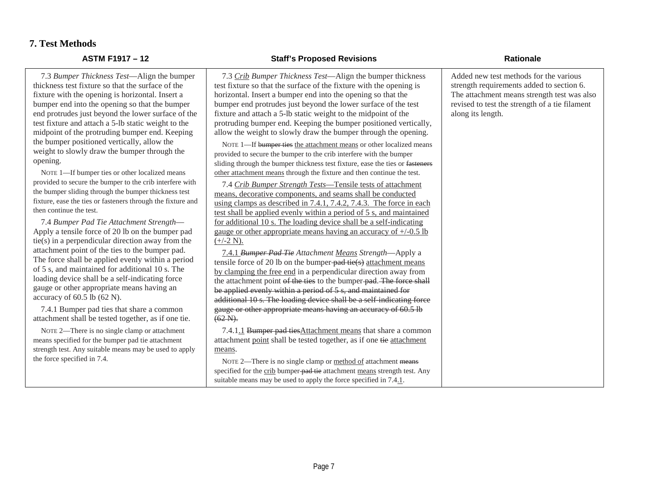### **7. Test Methods**

7.3 *Bumper Thickness Test*—Align thickness test fixture so that the surface fixture with the opening is horizontal. bumper end into the opening so that the bumper end into the bumper so that the bumper solution. end protrudes just beyond the lower s test fixture and attach a 5-lb static weight midpoint of the protruding bumper en the bumper positioned vertically, allo weight to slowly draw the bumper through the sum opening.

NOTE 1-If bumper ties or other localized provided to secure the bumper to the crib the bumper sliding through the bumper th fixture, ease the ties or fasteners through then continue the test.

7.4 *Bumper Pad Tie Attachment St.* Apply a tensile force of 20 lb on the  $tie(s)$  in a perpendicular direction away attachment point of the ties to the bur The force shall be applied evenly with of 5 s, and maintained for additional loading device shall be a self-indicati gauge or other appropriate means have accuracy of  $60.5$  lb  $(62 \text{ N})$ .

7.4.1 Bumper pad ties that share a attachment shall be tested together, as

NOTE 2-There is no single clamp or a means specified for the bumper pad tie at strength test. Any suitable means may be the force specified in 7.4.

| n the bumper<br>ice of the<br>l. Insert a<br>the bumper<br>surface of the<br>eight to the<br>nd. Keeping | 7.3 Crib Bumper Thickness Test-Align the bumper thickness<br>test fixture so that the surface of the fixture with the opening is<br>horizontal. Insert a bumper end into the opening so that the<br>bumper end protrudes just beyond the lower surface of the test<br>fixture and attach a 5-lb static weight to the midpoint of the<br>protruding bumper end. Keeping the bumper positioned vertically,<br>allow the weight to slowly draw the bumper through the opening. | Added new test methods for the various<br>strength requirements added to section 6.<br>The attachment means strength test was also<br>revised to test the strength of a tie filament<br>along its length. |
|----------------------------------------------------------------------------------------------------------|-----------------------------------------------------------------------------------------------------------------------------------------------------------------------------------------------------------------------------------------------------------------------------------------------------------------------------------------------------------------------------------------------------------------------------------------------------------------------------|-----------------------------------------------------------------------------------------------------------------------------------------------------------------------------------------------------------|
| ow the<br>rough the                                                                                      | NOTE 1-If bumper ties the attachment means or other localized means<br>provided to secure the bumper to the crib interfere with the bumper<br>sliding through the bumper thickness test fixture, ease the ties or fasteners                                                                                                                                                                                                                                                 |                                                                                                                                                                                                           |
| ized means                                                                                               | other attachment means through the fixture and then continue the test.                                                                                                                                                                                                                                                                                                                                                                                                      |                                                                                                                                                                                                           |
| interfere with<br>nickness test                                                                          | 7.4 Crib Bumper Strength Tests-Tensile tests of attachment                                                                                                                                                                                                                                                                                                                                                                                                                  |                                                                                                                                                                                                           |
| the fixture and                                                                                          | means, decorative components, and seams shall be conducted<br>using clamps as described in 7.4.1, 7.4.2, 7.4.3. The force in each                                                                                                                                                                                                                                                                                                                                           |                                                                                                                                                                                                           |
|                                                                                                          | test shall be applied evenly within a period of 5 s, and maintained                                                                                                                                                                                                                                                                                                                                                                                                         |                                                                                                                                                                                                           |
| trength—                                                                                                 | for additional 10 s. The loading device shall be a self-indicating                                                                                                                                                                                                                                                                                                                                                                                                          |                                                                                                                                                                                                           |
| bumper pad                                                                                               | gauge or other appropriate means having an accuracy of $+/-0.5$ lb                                                                                                                                                                                                                                                                                                                                                                                                          |                                                                                                                                                                                                           |
| ay from the                                                                                              | $(+/-2 N).$                                                                                                                                                                                                                                                                                                                                                                                                                                                                 |                                                                                                                                                                                                           |
| mper pad.                                                                                                | 7.4.1 Bumper Pad Tie Attachment Means Strength-Apply a                                                                                                                                                                                                                                                                                                                                                                                                                      |                                                                                                                                                                                                           |
| thin a period                                                                                            | tensile force of 20 lb on the bumper-pad-tie( $s$ ) attachment means                                                                                                                                                                                                                                                                                                                                                                                                        |                                                                                                                                                                                                           |
| $10 s$ . The                                                                                             | by clamping the free end in a perpendicular direction away from                                                                                                                                                                                                                                                                                                                                                                                                             |                                                                                                                                                                                                           |
| ing force                                                                                                | the attachment point of the ties to the bumper-pad. The force shall                                                                                                                                                                                                                                                                                                                                                                                                         |                                                                                                                                                                                                           |
| ving an                                                                                                  | be applied evenly within a period of 5 s, and maintained for                                                                                                                                                                                                                                                                                                                                                                                                                |                                                                                                                                                                                                           |
|                                                                                                          | additional 10 s. The loading device shall be a self indicating force                                                                                                                                                                                                                                                                                                                                                                                                        |                                                                                                                                                                                                           |
| common<br>s if one tie.                                                                                  | gauge or other appropriate means having an accuracy of 60.5 lb<br>$(62-N)$ .                                                                                                                                                                                                                                                                                                                                                                                                |                                                                                                                                                                                                           |
| attachment                                                                                               | 7.4.1.1 Bumper pad ties Attachment means that share a common                                                                                                                                                                                                                                                                                                                                                                                                                |                                                                                                                                                                                                           |
| ttachment                                                                                                | attachment point shall be tested together, as if one tie attachment                                                                                                                                                                                                                                                                                                                                                                                                         |                                                                                                                                                                                                           |
| used to apply                                                                                            | means.                                                                                                                                                                                                                                                                                                                                                                                                                                                                      |                                                                                                                                                                                                           |
|                                                                                                          | NOTE 2—There is no single clamp or method of attachment means                                                                                                                                                                                                                                                                                                                                                                                                               |                                                                                                                                                                                                           |
|                                                                                                          | specified for the crib bumper-pad tie attachment means strength test. Any                                                                                                                                                                                                                                                                                                                                                                                                   |                                                                                                                                                                                                           |
|                                                                                                          | suitable means may be used to apply the force specified in 7.4.1.                                                                                                                                                                                                                                                                                                                                                                                                           |                                                                                                                                                                                                           |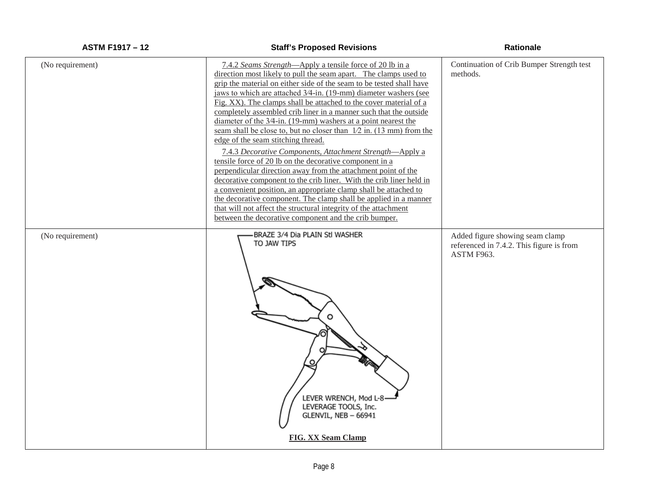| (No requirement) | 7.4.2 Seams Strength—Apply a tensile force of 20 lb in a<br>direction most likely to pull the seam apart. The clamps used to<br>grip the material on either side of the seam to be tested shall have<br>jaws to which are attached 3/4-in. (19-mm) diameter washers (see<br>Fig. XX). The clamps shall be attached to the cover material of a<br>completely assembled crib liner in a manner such that the outside<br>diameter of the 3/4-in. (19-mm) washers at a point nearest the<br>seam shall be close to, but no closer than $1/2$ in. (13 mm) from the<br>edge of the seam stitching thread.<br>7.4.3 Decorative Components, Attachment Strength-Apply a<br>tensile force of 20 lb on the decorative component in a<br>perpendicular direction away from the attachment point of the<br>decorative component to the crib liner. With the crib liner held in<br>a convenient position, an appropriate clamp shall be attached to<br>the decorative component. The clamp shall be applied in a manner<br>that will not affect the structural integrity of the attachment<br>between the decorative component and the crib bumper. | Continuation of Crib Bumper Strength test<br>methods.                                     |
|------------------|----------------------------------------------------------------------------------------------------------------------------------------------------------------------------------------------------------------------------------------------------------------------------------------------------------------------------------------------------------------------------------------------------------------------------------------------------------------------------------------------------------------------------------------------------------------------------------------------------------------------------------------------------------------------------------------------------------------------------------------------------------------------------------------------------------------------------------------------------------------------------------------------------------------------------------------------------------------------------------------------------------------------------------------------------------------------------------------------------------------------------------------|-------------------------------------------------------------------------------------------|
| (No requirement) | BRAZE 3/4 Dia PLAIN Stl WASHER<br>TO JAW TIPS<br>o<br>LEVER WRENCH, Mod L-8-<br>LEVERAGE TOOLS, Inc.<br>GLENVIL, NEB - 66941<br><b>FIG. XX Seam Clamp</b>                                                                                                                                                                                                                                                                                                                                                                                                                                                                                                                                                                                                                                                                                                                                                                                                                                                                                                                                                                              | Added figure showing seam clamp<br>referenced in 7.4.2. This figure is from<br>ASTM F963. |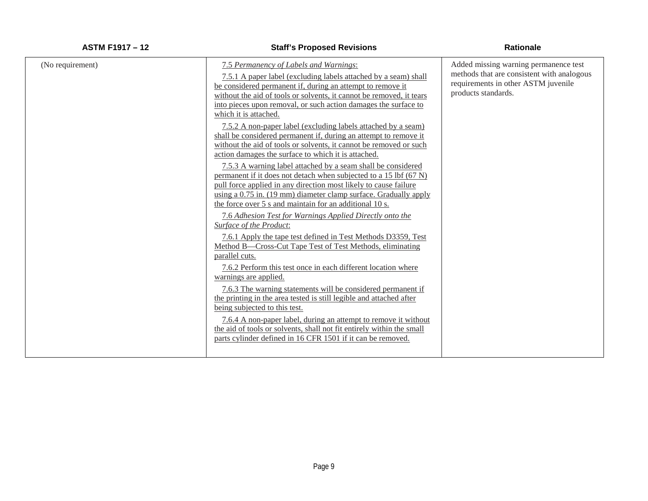| (No requirement) | 7.5 Permanency of Labels and Warnings:<br>7.5.1 A paper label (excluding labels attached by a seam) shall<br>be considered permanent if, during an attempt to remove it<br>without the aid of tools or solvents, it cannot be removed, it tears<br>into pieces upon removal, or such action damages the surface to<br>which it is attached.<br>7.5.2 A non-paper label (excluding labels attached by a seam)<br>shall be considered permanent if, during an attempt to remove it<br>without the aid of tools or solvents, it cannot be removed or such<br>action damages the surface to which it is attached.<br>7.5.3 A warning label attached by a seam shall be considered<br>permanent if it does not detach when subjected to a 15 lbf (67 N)<br>pull force applied in any direction most likely to cause failure<br>using a 0.75 in. (19 mm) diameter clamp surface. Gradually apply<br>the force over 5 s and maintain for an additional 10 s.<br>7.6 Adhesion Test for Warnings Applied Directly onto the<br>Surface of the Product:<br>7.6.1 Apply the tape test defined in Test Methods D3359, Test<br>Method B—Cross-Cut Tape Test of Test Methods, eliminating<br>parallel cuts.<br>7.6.2 Perform this test once in each different location where<br>warnings are applied.<br>7.6.3 The warning statements will be considered permanent if<br>the printing in the area tested is still legible and attached after<br>being subjected to this test.<br>7.6.4 A non-paper label, during an attempt to remove it without<br>the aid of tools or solvents, shall not fit entirely within the small<br>parts cylinder defined in 16 CFR 1501 if it can be removed. | Added missing warning permanence test<br>methods that are consistent with analogous<br>requirements in other ASTM juvenile<br>products standards. |
|------------------|---------------------------------------------------------------------------------------------------------------------------------------------------------------------------------------------------------------------------------------------------------------------------------------------------------------------------------------------------------------------------------------------------------------------------------------------------------------------------------------------------------------------------------------------------------------------------------------------------------------------------------------------------------------------------------------------------------------------------------------------------------------------------------------------------------------------------------------------------------------------------------------------------------------------------------------------------------------------------------------------------------------------------------------------------------------------------------------------------------------------------------------------------------------------------------------------------------------------------------------------------------------------------------------------------------------------------------------------------------------------------------------------------------------------------------------------------------------------------------------------------------------------------------------------------------------------------------------------------------------------------------------------------------------------------|---------------------------------------------------------------------------------------------------------------------------------------------------|
|                  |                                                                                                                                                                                                                                                                                                                                                                                                                                                                                                                                                                                                                                                                                                                                                                                                                                                                                                                                                                                                                                                                                                                                                                                                                                                                                                                                                                                                                                                                                                                                                                                                                                                                           |                                                                                                                                                   |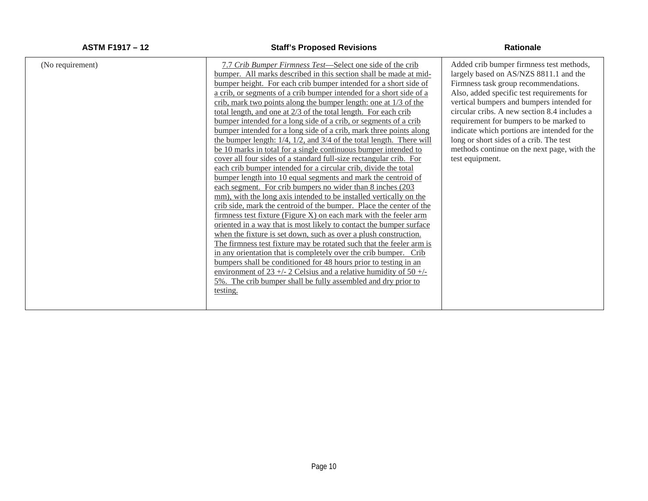| (No requirement) | <u>7.7 Crib Bumper Firmness Test—Select one side of the crib</u><br>bumper. All marks described in this section shall be made at mid-<br>bumper height. For each crib bumper intended for a short side of<br>a crib, or segments of a crib bumper intended for a short side of a<br>crib, mark two points along the bumper length: one at 1/3 of the<br>total length, and one at 2/3 of the total length. For each crib<br>bumper intended for a long side of a crib, or segments of a crib<br>bumper intended for a long side of a crib, mark three points along<br>the bumper length: 1/4, 1/2, and 3/4 of the total length. There will<br>be 10 marks in total for a single continuous bumper intended to<br>cover all four sides of a standard full-size rectangular crib. For<br>each crib bumper intended for a circular crib, divide the total<br>bumper length into 10 equal segments and mark the centroid of<br>each segment. For crib bumpers no wider than 8 inches (203)<br>mm), with the long axis intended to be installed vertically on the<br>crib side, mark the centroid of the bumper. Place the center of the<br>firmness test fixture (Figure X) on each mark with the feeler arm<br>oriented in a way that is most likely to contact the bumper surface<br>when the fixture is set down, such as over a plush construction.<br>The firmness test fixture may be rotated such that the feeler arm is<br>in any orientation that is completely over the crib bumper. Crib<br>bumpers shall be conditioned for 48 hours prior to testing in an<br>environment of 23 +/- 2 Celsius and a relative humidity of $50 +$ /- | Added crib bumper firmness test methods,<br>largely based on AS/NZS 8811.1 and the<br>Firmness task group recommendations.<br>Also, added specific test requirements for<br>vertical bumpers and bumpers intended for<br>circular cribs. A new section 8.4 includes a<br>requirement for bumpers to be marked to<br>indicate which portions are intended for the<br>long or short sides of a crib. The test<br>methods continue on the next page, with the<br>test equipment. |
|------------------|--------------------------------------------------------------------------------------------------------------------------------------------------------------------------------------------------------------------------------------------------------------------------------------------------------------------------------------------------------------------------------------------------------------------------------------------------------------------------------------------------------------------------------------------------------------------------------------------------------------------------------------------------------------------------------------------------------------------------------------------------------------------------------------------------------------------------------------------------------------------------------------------------------------------------------------------------------------------------------------------------------------------------------------------------------------------------------------------------------------------------------------------------------------------------------------------------------------------------------------------------------------------------------------------------------------------------------------------------------------------------------------------------------------------------------------------------------------------------------------------------------------------------------------------------------------------------------------------------------------------------------------------|-------------------------------------------------------------------------------------------------------------------------------------------------------------------------------------------------------------------------------------------------------------------------------------------------------------------------------------------------------------------------------------------------------------------------------------------------------------------------------|
|                  | 5%. The crib bumper shall be fully assembled and dry prior to<br>testing.                                                                                                                                                                                                                                                                                                                                                                                                                                                                                                                                                                                                                                                                                                                                                                                                                                                                                                                                                                                                                                                                                                                                                                                                                                                                                                                                                                                                                                                                                                                                                                  |                                                                                                                                                                                                                                                                                                                                                                                                                                                                               |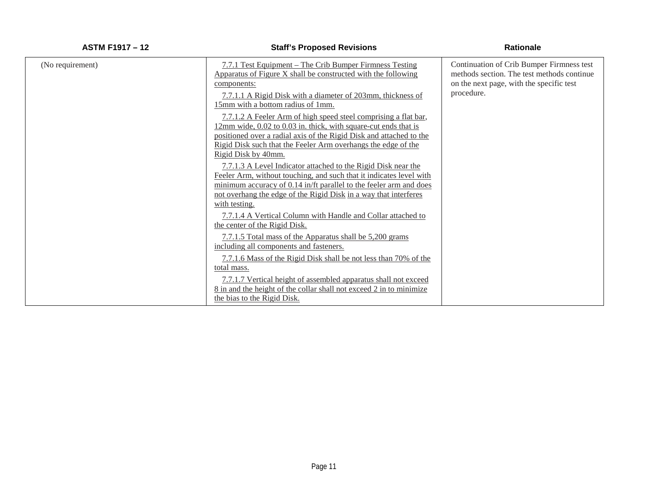| (No requirement) | 7.7.1 Test Equipment – The Crib Bumper Firmness Testing<br>Apparatus of Figure X shall be constructed with the following<br>components:<br>7.7.1.1 A Rigid Disk with a diameter of 203mm, thickness of<br>15mm with a bottom radius of 1mm.                                                       | Continuation of Crib Bumper Firmness test<br>methods section. The test methods continue<br>on the next page, with the specific test<br>procedure. |
|------------------|---------------------------------------------------------------------------------------------------------------------------------------------------------------------------------------------------------------------------------------------------------------------------------------------------|---------------------------------------------------------------------------------------------------------------------------------------------------|
|                  | 7.7.1.2 A Feeler Arm of high speed steel comprising a flat bar,<br>12mm wide, 0.02 to 0.03 in. thick, with square-cut ends that is<br>positioned over a radial axis of the Rigid Disk and attached to the<br>Rigid Disk such that the Feeler Arm overhangs the edge of the<br>Rigid Disk by 40mm. |                                                                                                                                                   |
|                  | 7.7.1.3 A Level Indicator attached to the Rigid Disk near the<br>Feeler Arm, without touching, and such that it indicates level with<br>minimum accuracy of 0.14 in/ft parallel to the feeler arm and does<br>not overhang the edge of the Rigid Disk in a way that interferes<br>with testing.   |                                                                                                                                                   |
|                  | 7.7.1.4 A Vertical Column with Handle and Collar attached to<br>the center of the Rigid Disk.                                                                                                                                                                                                     |                                                                                                                                                   |
|                  | 7.7.1.5 Total mass of the Apparatus shall be 5,200 grams<br>including all components and fasteners.                                                                                                                                                                                               |                                                                                                                                                   |
|                  | 7.7.1.6 Mass of the Rigid Disk shall be not less than 70% of the<br>total mass.                                                                                                                                                                                                                   |                                                                                                                                                   |
|                  | 7.7.1.7 Vertical height of assembled apparatus shall not exceed<br>8 in and the height of the collar shall not exceed 2 in to minimize<br>the bias to the Rigid Disk.                                                                                                                             |                                                                                                                                                   |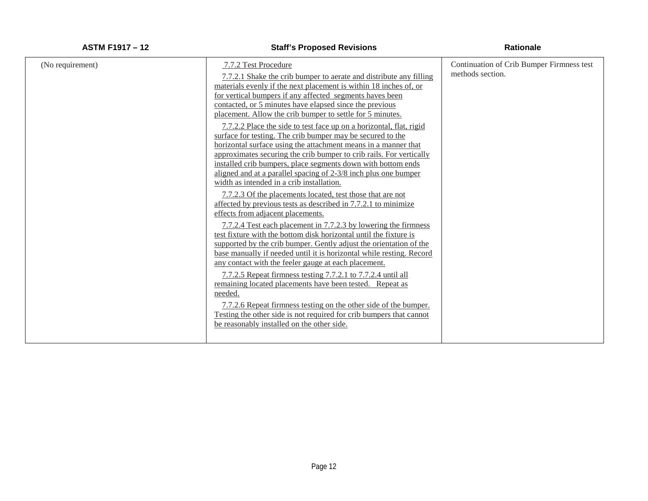| (No requirement) | 7.7.2 Test Procedure                                                                                                            | Continuation of Crib Bumper Firmness test |
|------------------|---------------------------------------------------------------------------------------------------------------------------------|-------------------------------------------|
|                  | 7.7.2.1 Shake the crib bumper to aerate and distribute any filling                                                              | methods section.                          |
|                  | materials evenly if the next placement is within 18 inches of, or                                                               |                                           |
|                  | for vertical bumpers if any affected segments haves been                                                                        |                                           |
|                  | contacted, or 5 minutes have elapsed since the previous                                                                         |                                           |
|                  | placement. Allow the crib bumper to settle for 5 minutes.                                                                       |                                           |
|                  | 7.7.2.2 Place the side to test face up on a horizontal, flat, rigid                                                             |                                           |
|                  | surface for testing. The crib bumper may be secured to the                                                                      |                                           |
|                  | horizontal surface using the attachment means in a manner that                                                                  |                                           |
|                  | approximates securing the crib bumper to crib rails. For vertically                                                             |                                           |
|                  | installed crib bumpers, place segments down with bottom ends<br>aligned and at a parallel spacing of 2-3/8 inch plus one bumper |                                           |
|                  | width as intended in a crib installation.                                                                                       |                                           |
|                  |                                                                                                                                 |                                           |
|                  | 7.7.2.3 Of the placements located, test those that are not<br>affected by previous tests as described in 7.7.2.1 to minimize    |                                           |
|                  | effects from adjacent placements.                                                                                               |                                           |
|                  | 7.7.2.4 Test each placement in 7.7.2.3 by lowering the firmness                                                                 |                                           |
|                  | test fixture with the bottom disk horizontal until the fixture is                                                               |                                           |
|                  | supported by the crib bumper. Gently adjust the orientation of the                                                              |                                           |
|                  | base manually if needed until it is horizontal while resting. Record                                                            |                                           |
|                  | any contact with the feeler gauge at each placement.                                                                            |                                           |
|                  | 7.7.2.5 Repeat firmness testing 7.7.2.1 to 7.7.2.4 until all                                                                    |                                           |
|                  | remaining located placements have been tested. Repeat as                                                                        |                                           |
|                  | needed.                                                                                                                         |                                           |
|                  | 7.7.2.6 Repeat firmness testing on the other side of the bumper.                                                                |                                           |
|                  | Testing the other side is not required for crib bumpers that cannot                                                             |                                           |
|                  | be reasonably installed on the other side.                                                                                      |                                           |
|                  |                                                                                                                                 |                                           |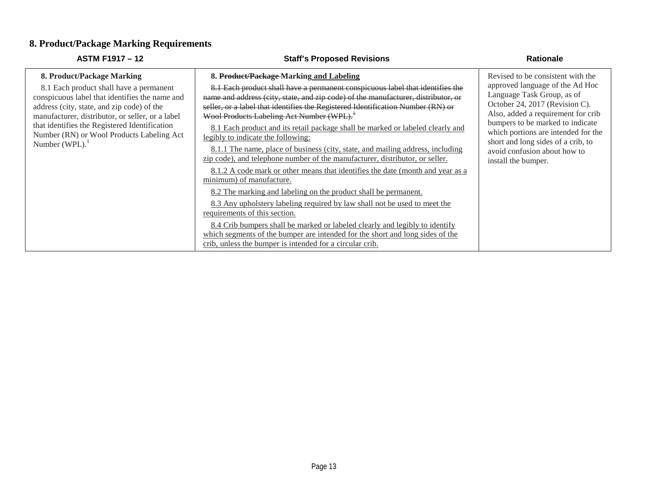# **8. Product/Package Marking Requirements**

| <b>ASTM F1917 - 12</b>                                                                                                                                                                                                                                                                                                                      | <b>Staff's Proposed Revisions</b>                                                                                                                                                                                                                                                                                                                                                                                                                                                                                                                                                                                                                                                                                                                                                                                                                                                                                                                                                                                                                                                                                                                                              | <b>Rationale</b>                                                                                                                                                                                                                                                                                                                                   |
|---------------------------------------------------------------------------------------------------------------------------------------------------------------------------------------------------------------------------------------------------------------------------------------------------------------------------------------------|--------------------------------------------------------------------------------------------------------------------------------------------------------------------------------------------------------------------------------------------------------------------------------------------------------------------------------------------------------------------------------------------------------------------------------------------------------------------------------------------------------------------------------------------------------------------------------------------------------------------------------------------------------------------------------------------------------------------------------------------------------------------------------------------------------------------------------------------------------------------------------------------------------------------------------------------------------------------------------------------------------------------------------------------------------------------------------------------------------------------------------------------------------------------------------|----------------------------------------------------------------------------------------------------------------------------------------------------------------------------------------------------------------------------------------------------------------------------------------------------------------------------------------------------|
| 8. Product/Package Marking<br>8.1 Each product shall have a permanent<br>conspicuous label that identifies the name and<br>address (city, state, and zip code) of the<br>manufacturer, distributor, or seller, or a label<br>that identifies the Registered Identification<br>Number (RN) or Wool Products Labeling Act<br>Number $(WPL)$ . | 8. Product/Package Marking and Labeling<br>8.1 Each product shall have a permanent conspicuous label that identifies the<br>name and address (city, state, and zip code) of the manufacturer, distributor, or<br>seller, or a label that identifies the Registered Identification Number (RN) or<br>Wool Products Labeling Act Number (WPL). <sup>1</sup><br>8.1 Each product and its retail package shall be marked or labeled clearly and<br>legibly to indicate the following:<br>8.1.1 The name, place of business (city, state, and mailing address, including<br>zip code), and telephone number of the manufacturer, distributor, or seller.<br>8.1.2 A code mark or other means that identifies the date (month and year as a<br>minimum) of manufacture.<br>8.2 The marking and labeling on the product shall be permanent.<br>8.3 Any upholstery labeling required by law shall not be used to meet the<br>requirements of this section.<br>8.4 Crib bumpers shall be marked or labeled clearly and legibly to identify<br>which segments of the bumper are intended for the short and long sides of the<br>crib, unless the bumper is intended for a circular crib. | Revised to be consistent with the<br>approved language of the Ad Hoc<br>Language Task Group, as of<br>October 24, 2017 (Revision C).<br>Also, added a requirement for crib<br>bumpers to be marked to indicate<br>which portions are intended for the<br>short and long sides of a crib, to<br>avoid confusion about how to<br>install the bumper. |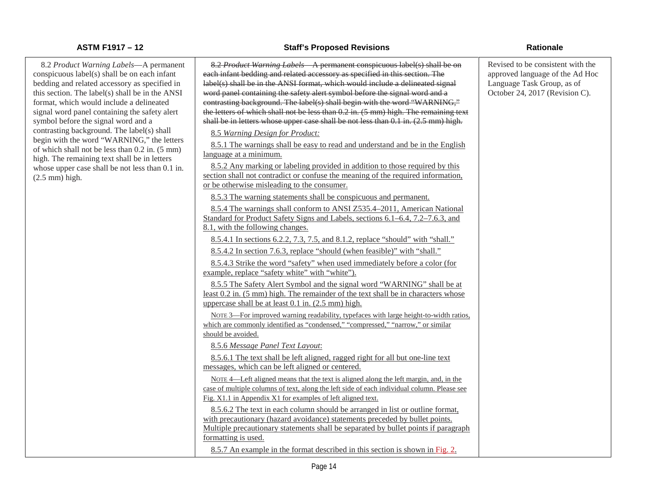8.2 *Product Warning Labels*—A permanent conspicuous label(s) shall be on each infant bedding and related accessory as specified in this section. The label(s) shall be in the ANSI format, which would include a delineated signal word panel containing the safety alert symbol before the signal word and a contrasting background. The label(s) shall begin with the word "WARNING," the letters of which shall not be less than 0.2 in. (5 mm) high. The remaining text shall be in letters whose upper case shall be not less than 0.1 in. (2.5 mm) high.

### **ASTM F1917 – 12 Staff's Proposed Revisions Rationale**

8.2 *Product Warning Labels*—A permanent conspicuous label(s) shall be on each infant bedding and related accessory as specified in this section. The label(s) shall be in the ANSI format, which would include a delineated signal word panel containing the safety alert symbol before the signal word and a contrasting background. The label(s) shall begin with the word "WARNING," the letters of which shall not be less than 0.2 in. (5 mm) high. The remaining text shall be in letters whose upper case shall be not less than 0.1 in. (2.5 mm) high. 8.5 *Warning Design for Product:* 8.5.1 The warnings shall be easy to read and understand and be in the English language at a minimum. 8.5.2 Any marking or labeling provided in addition to those required by this section shall not contradict or confuse the meaning of the required information, or be otherwise misleading to the consumer. 8.5.3 The warning statements shall be conspicuous and permanent. 8.5.4 The warnings shall conform to ANSI Z535.4–2011, American National Standard for Product Safety Signs and Labels, sections 6.1–6.4, 7.2–7.6.3, and 8.1, with the following changes. 8.5.4.1 In sections 6.2.2, 7.3, 7.5, and 8.1.2, replace "should" with "shall." 8.5.4.2 In section 7.6.3, replace "should (when feasible)" with "shall." 8.5.4.3 Strike the word "safety" when used immediately before a color (for example, replace "safety white" with "white"). 8.5.5 The Safety Alert Symbol and the signal word "WARNING" shall be at least 0.2 in. (5 mm) high. The remainder of the text shall be in characters whose uppercase shall be at least 0.1 in. (2.5 mm) high.

NOTE 3—For improved warning readability, typefaces with large height-to-width ratios, which are commonly identified as "condensed," "compressed," "narrow," or similar should be avoided.

8.5.6 *Message Panel Text Layout*:

8.5.6.1 The text shall be left aligned, ragged right for all but one-line text messages, which can be left aligned or centered.

NOTE 4—Left aligned means that the text is aligned along the left margin, and, in the case of multiple columns of text, along the left side of each individual column. Please see Fig. X1.1 in Appendix X1 for examples of left aligned text.

8.5.6.2 The text in each column should be arranged in list or outline format, with precautionary (hazard avoidance) statements preceded by bullet points. Multiple precautionary statements shall be separated by bullet points if paragraph formatting is used.

8.5.7 An example in the format described in this section is shown in Fig. 2.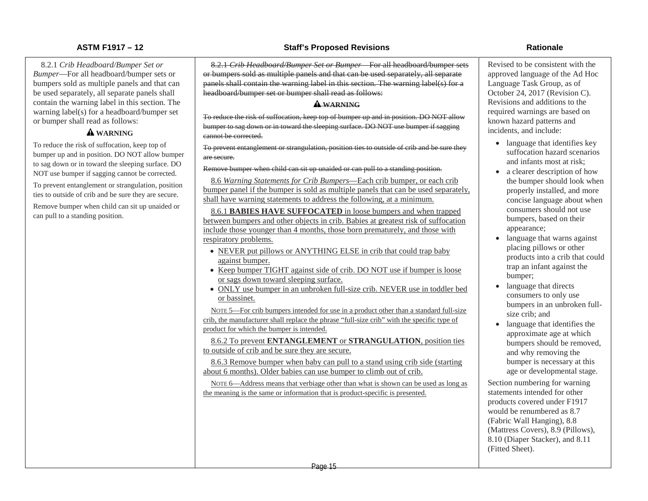8.2.1 *Crib Headboard/Bumper Set or Bumper*—For all headboard/bumper sets or bumpers sold as multiple panels and that can be used separately, all separate panels shall contain the warning label in this section. The warning label(s) for a headboard/bumper set or bumper shall read as follows:

### **WARNING**

To reduce the risk of suffocation, keep top of bumper up and in position. DO NOT allow bumper to sag down or in toward the sleeping surface. DO NOT use bumper if sagging cannot be corrected.

To prevent entanglement or strangulation, position ties to outside of crib and be sure they are secure.

Remove bumper when child can sit up unaided or can pull to a standing position.

### **ASTM F1917 – 12 Staff's Proposed Revisions Rationale**

8.2.1 *Crib Headboard/Bumper Set or Bumper*—For all headboard/bumper sets or bumpers sold as multiple panels and that can be used separately, all separate panels shall contain the warning label in this section. The warning label(s) for a headboard/bumper set or bumper shall read as follows:

### **WARNING**

To reduce the risk of suffocation, keep top of bumper up and in position. DO NOT allow bumper to sag down or in toward the sleeping surface. DO NOT use bumper if sagging cannot be corrected.

To prevent entanglement or strangulation, position ties to outside of crib and be sure they are secure.

### Remove bumper when child can sit up unaided or can pull to a standing position.

8.6 *Warning Statements for Crib Bumpers*—Each crib bumper, or each crib bumper panel if the bumper is sold as multiple panels that can be used separately, shall have warning statements to address the following, at a minimum.

8.6.1 **BABIES HAVE SUFFOCATED** in loose bumpers and when trapped between bumpers and other objects in crib. Babies at greatest risk of suffocation include those younger than 4 months, those born prematurely, and those with respiratory problems.

- NEVER put pillows or ANYTHING ELSE in crib that could trap baby against bumper.
- Keep bumper TIGHT against side of crib. DO NOT use if bumper is loose or sags down toward sleeping surface.
- ONLY use bumper in an unbroken full-size crib. NEVER use in toddler bed or bassinet.

NOTE 5—For crib bumpers intended for use in a product other than a standard full-size crib, the manufacturer shall replace the phrase "full-size crib" with the specific type of product for which the bumper is intended.

8.6.2 To prevent **ENTANGLEMENT** or **STRANGULATION**, position ties to outside of crib and be sure they are secure.

8.6.3 Remove bumper when baby can pull to a stand using crib side (starting about 6 months). Older babies can use bumper to climb out of crib.

NOTE 6—Address means that verbiage other than what is shown can be used as long as the meaning is the same or information that is product-specific is presented.

Revised to be consistent with the approved language of the Ad Hoc Language Task Group, as of October 24, 2017 (Revision C). Revisions and additions to the required warnings are based on known hazard patterns and incidents, and include:

- language that identifies key suffocation hazard scenarios and infants most at risk;
- a clearer description of how the bumper should look when properly installed, and more concise language about when consumers should not use bumpers, based on their appearance;
- language that warns against placing pillows or other products into a crib that could trap an infant against the bumper;
- language that directs consumers to only use bumpers in an unbroken fullsize crib; and
- language that identifies the approximate age at which bumpers should be removed, and why removing the bumper is necessary at this age or developmental stage.

Section numbering for warning statements intended for other products covered under F1917 would be renumbered as 8.7 (Fabric Wall Hanging), 8.8 (Mattress Covers), 8.9 (Pillows), 8.10 (Diaper Stacker), and 8.11 (Fitted Sheet).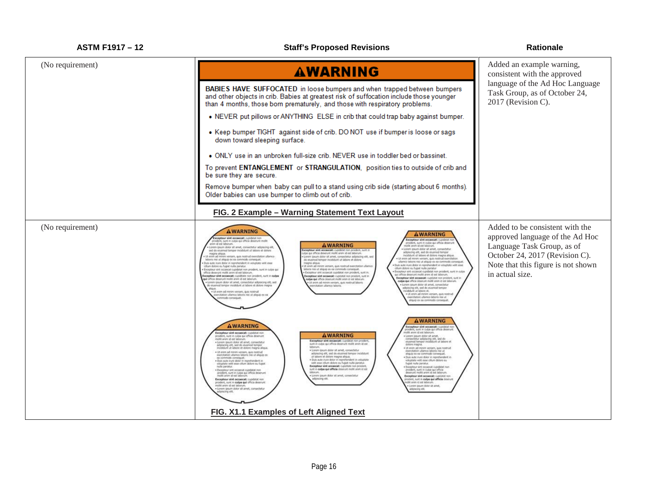| <b>ASTM F1917 - 12</b> | <b>Staff's Proposed Revisions</b>                                                                                                                                                                                                                                                                                                                                                                                                                                                                                                                                                                                                                                                                                                                                                                                                                                                                                                                                                                                                                                                                                                                                                                                                                                                                                                                                                                                                                                                                                                                                                                                                                                                                                                                                                                                                                                                                                                                                                                                                                                                                                                                                                                                                                                                                                                                                                                                                                                                                                                                                                               | <b>Rationale</b>                                                                                                                                                                            |
|------------------------|-------------------------------------------------------------------------------------------------------------------------------------------------------------------------------------------------------------------------------------------------------------------------------------------------------------------------------------------------------------------------------------------------------------------------------------------------------------------------------------------------------------------------------------------------------------------------------------------------------------------------------------------------------------------------------------------------------------------------------------------------------------------------------------------------------------------------------------------------------------------------------------------------------------------------------------------------------------------------------------------------------------------------------------------------------------------------------------------------------------------------------------------------------------------------------------------------------------------------------------------------------------------------------------------------------------------------------------------------------------------------------------------------------------------------------------------------------------------------------------------------------------------------------------------------------------------------------------------------------------------------------------------------------------------------------------------------------------------------------------------------------------------------------------------------------------------------------------------------------------------------------------------------------------------------------------------------------------------------------------------------------------------------------------------------------------------------------------------------------------------------------------------------------------------------------------------------------------------------------------------------------------------------------------------------------------------------------------------------------------------------------------------------------------------------------------------------------------------------------------------------------------------------------------------------------------------------------------------------|---------------------------------------------------------------------------------------------------------------------------------------------------------------------------------------------|
| (No requirement)       | <b>AWARNING</b>                                                                                                                                                                                                                                                                                                                                                                                                                                                                                                                                                                                                                                                                                                                                                                                                                                                                                                                                                                                                                                                                                                                                                                                                                                                                                                                                                                                                                                                                                                                                                                                                                                                                                                                                                                                                                                                                                                                                                                                                                                                                                                                                                                                                                                                                                                                                                                                                                                                                                                                                                                                 | Added an example warning,<br>consistent with the approved                                                                                                                                   |
|                        | <b>BABIES HAVE SUFFOCATED</b> in loose bumpers and when trapped between bumpers<br>and other objects in crib. Babies at greatest risk of suffocation include those younger<br>than 4 months, those born prematurely, and those with respiratory problems.                                                                                                                                                                                                                                                                                                                                                                                                                                                                                                                                                                                                                                                                                                                                                                                                                                                                                                                                                                                                                                                                                                                                                                                                                                                                                                                                                                                                                                                                                                                                                                                                                                                                                                                                                                                                                                                                                                                                                                                                                                                                                                                                                                                                                                                                                                                                       | language of the Ad Hoc Language<br>Task Group, as of October 24,<br>2017 (Revision C).                                                                                                      |
|                        | • NEVER put pillows or ANYTHING ELSE in crib that could trap baby against bumper.                                                                                                                                                                                                                                                                                                                                                                                                                                                                                                                                                                                                                                                                                                                                                                                                                                                                                                                                                                                                                                                                                                                                                                                                                                                                                                                                                                                                                                                                                                                                                                                                                                                                                                                                                                                                                                                                                                                                                                                                                                                                                                                                                                                                                                                                                                                                                                                                                                                                                                               |                                                                                                                                                                                             |
|                        | • Keep bumper TIGHT against side of crib. DO NOT use if bumper is loose or sags<br>down toward sleeping surface.                                                                                                                                                                                                                                                                                                                                                                                                                                                                                                                                                                                                                                                                                                                                                                                                                                                                                                                                                                                                                                                                                                                                                                                                                                                                                                                                                                                                                                                                                                                                                                                                                                                                                                                                                                                                                                                                                                                                                                                                                                                                                                                                                                                                                                                                                                                                                                                                                                                                                |                                                                                                                                                                                             |
|                        | • ONLY use in an unbroken full-size crib. NEVER use in toddler bed or bassinet.                                                                                                                                                                                                                                                                                                                                                                                                                                                                                                                                                                                                                                                                                                                                                                                                                                                                                                                                                                                                                                                                                                                                                                                                                                                                                                                                                                                                                                                                                                                                                                                                                                                                                                                                                                                                                                                                                                                                                                                                                                                                                                                                                                                                                                                                                                                                                                                                                                                                                                                 |                                                                                                                                                                                             |
|                        | To prevent ENTANGLEMENT or STRANGULATION, position ties to outside of crib and<br>be sure they are secure.                                                                                                                                                                                                                                                                                                                                                                                                                                                                                                                                                                                                                                                                                                                                                                                                                                                                                                                                                                                                                                                                                                                                                                                                                                                                                                                                                                                                                                                                                                                                                                                                                                                                                                                                                                                                                                                                                                                                                                                                                                                                                                                                                                                                                                                                                                                                                                                                                                                                                      |                                                                                                                                                                                             |
|                        | Remove bumper when baby can pull to a stand using crib side (starting about 6 months).<br>Older babies can use bumper to climb out of crib.                                                                                                                                                                                                                                                                                                                                                                                                                                                                                                                                                                                                                                                                                                                                                                                                                                                                                                                                                                                                                                                                                                                                                                                                                                                                                                                                                                                                                                                                                                                                                                                                                                                                                                                                                                                                                                                                                                                                                                                                                                                                                                                                                                                                                                                                                                                                                                                                                                                     |                                                                                                                                                                                             |
|                        | FIG. 2 Example - Warning Statement Text Layout                                                                                                                                                                                                                                                                                                                                                                                                                                                                                                                                                                                                                                                                                                                                                                                                                                                                                                                                                                                                                                                                                                                                                                                                                                                                                                                                                                                                                                                                                                                                                                                                                                                                                                                                                                                                                                                                                                                                                                                                                                                                                                                                                                                                                                                                                                                                                                                                                                                                                                                                                  |                                                                                                                                                                                             |
| (No requirement)       | <b>AWARNING</b><br><b>AWARNING</b><br>cepteur sint occascat: curidatat non<br>copteur sint occaecat: cupdatat r<br>proident, sunt in culpa qui officia deserunt molit.<br>nen id est laborum.<br>rodent, sunt in culpa gui officia desimun<br><b>AWARNING</b><br>olist anim id and laborum<br>Lorem ipsum dolor sit arret, consectetur adipiscing elit,<br>Lorem grazm dolor sit amet, consectitur<br>acepteur sint occaecat: cupidatat non prodere, sunt a<br>sed do eiusmod tempor incididunt ut labore et dolore<br>adplacing elit, sed do elusmod tempor<br>Incididunt ut labore et dolore magna aliqua.<br>magna aliqua.<br>Ut enim ad minim veniam, quis nostrud exercitation ullamco<br>laboris nei ut aliquip ex ea commodo consequat.<br>ulpa qui officia deserunt molit anim id est laborum.<br>Lorem ipsum dolor sit amet, consectetur adipiscing elit, sed<br>Ut enim ad minim veniam, duls nostrud exercitation<br>do elusmod tempor incididunt ut labore et dolore<br>llamco laboris nisi ut aliquip ex ea commodo consequat<br>Duis aute inure dolor in reprehendent in wilkptate velit exse<br>magna aliqua.<br>Ut enim ad minim veniam, quis nostrud exercitation ullamic<br>. Duis auto inure dolor in reprehendent in voluptate will osse<br>cilium dolore eu fugiat nulla pariatur.<br>• Excepteur sint occaecat cupidatat non proident, sunt in culpa qui<br>laboris nis ut aliquip ex ea commodo consequat.<br>• Excepteur sint occaecat cupidatat non provident, sunt in.<br>Excepteur sint occaecat cupidatat non proident, sunt in culpa<br>qui officia desenant moliit anim id est laborum.<br>officia deserved mode anim id est laborum.<br>Excepteur sint occassat: cupiditate non prodent, sunt in culpa<br>Excepteur sint occaecat: cupidatet non prodent, sunt in<br>Excepteur sint occascat: cupidatat non proident, sunt in<br>culpa qui officia deserunt molit anim id est laborum.<br>qui officia deserunt molit anim id est laborum.<br>culpa qui officia deserunt molit arem et est leborum.<br>Lorem ipsum dolor sit amet, consectistur adipisiong elit, sed<br>Lit enim ad minim veniam, quas nostrud laboris<br>Lorem ipium dolor sit amet, consectetur<br>do eiusmod tempor incididunt ut labore et dolore magna<br>citation ullanco taboris.<br>adipiricing elit, sed do elusmod tempor<br>- Ut eram ad minim versiem, quis nostrud<br>noididunt ut labore et.<br>Ut enim ad minim versam, quis nostrud<br>citation ullamco laboris resi ut aliquip ex e<br>immodo conseguat.<br>arcitation ullamos laboris nei ut<br>liquip ex sa commodo consequat. | Added to be consistent with the<br>approved language of the Ad Hoc<br>Language Task Group, as of<br>October 24, 2017 (Revision C).<br>Note that this figure is not shown<br>in actual size. |
|                        | <b>AWARNING</b><br><b>AWARNING</b><br><b>Excepteur sint occaecat</b> : cupidatat n<br>roident, sunt in culpa qui officia desenu<br>dit anm id est laborum.<br>Exceptour sint occascat: moidstat no<br><b>AWARNING</b><br>- Lorem ipsum dolor sit amitt,<br>consectetur adipiscing elit, sed do<br>eusmod tempor incididunt ut labore et<br>roident, sunt in culpa qui officia desenunt<br>rollit anim id est laborum.<br>Excepteur sint occaecat: rupidatat non proident<br>· Lorem ipsum dolor sit amet, consectetur<br>adipiscing elit, sed do esusmod tempor<br>incididant ut labore et dolore magna aliqua.<br>sunt in culpa qui officia deserunt molit anim id est<br>doktre magna.<br>laborum.<br>· Ut enim ad minim veniam, quis nostrud<br>. Lorem ipsum dolor sit amet, consectetur<br>exercitation ullamos laboris nisi ut<br>. Ut enim ad minim veniam, quia nostrud<br>adjoiscing elit, sed do exuanod tempor incididunt.<br>aliquip ex ea commodo consequat.<br>exercitation ultamos laboris nilii ut aliquip ex-<br>ut labore et dolore magna alqua.<br>• Duis aute inure dolor in reprehendent in volupties<br>· Duis auto kuro dolor in reprehendent in<br>as commodo conseguat.<br>• Duis aute invie dolor in reprehendent in voluptate velt eise offum dolore eu fugiat.<br>voluptate velit esse cilium dolore eu<br>fugiat nulla pariatur.<br>veilt esse cilum dolore eu fugiet milla paratus.<br>Exceptiour sint occasionit: cupstitute non prodent,<br>rulla pariatur.<br>· Exceptiour sint occaecal cupidatat non<br>proident, sunt in culpa qui officia<br>desenunt moliit anim id est laborum.<br>sunt in culpa qui officia deserunt molit anim id est<br>· Exceptivur sint occaecat cupstatat non<br>proident, sunt in cuipa qui officia desenunt.<br>molit aram id est laborum.<br>· Lorem iosum dolor sit amet, consectatur<br>Excepteur sint occaecat: cupidatat non<br>prodent, sunt in culpa qui officia desenunt<br>dipscing elit<br>Excepteur sint occaecat: cupdatat non<br>ent, sunt in culpa qui officia deserunt<br>alit anim id est laborun<br>molit anim id est laborum<br>Lomm losum dolor sit amet.<br>Lorem ipsum dolor sit amet, consectetur<br>adqiscing elit,<br>king elt.                                                                                                                                                                                                                                                                                                                                                                          |                                                                                                                                                                                             |
|                        | FIG. X1.1 Examples of Left Aligned Text                                                                                                                                                                                                                                                                                                                                                                                                                                                                                                                                                                                                                                                                                                                                                                                                                                                                                                                                                                                                                                                                                                                                                                                                                                                                                                                                                                                                                                                                                                                                                                                                                                                                                                                                                                                                                                                                                                                                                                                                                                                                                                                                                                                                                                                                                                                                                                                                                                                                                                                                                         |                                                                                                                                                                                             |